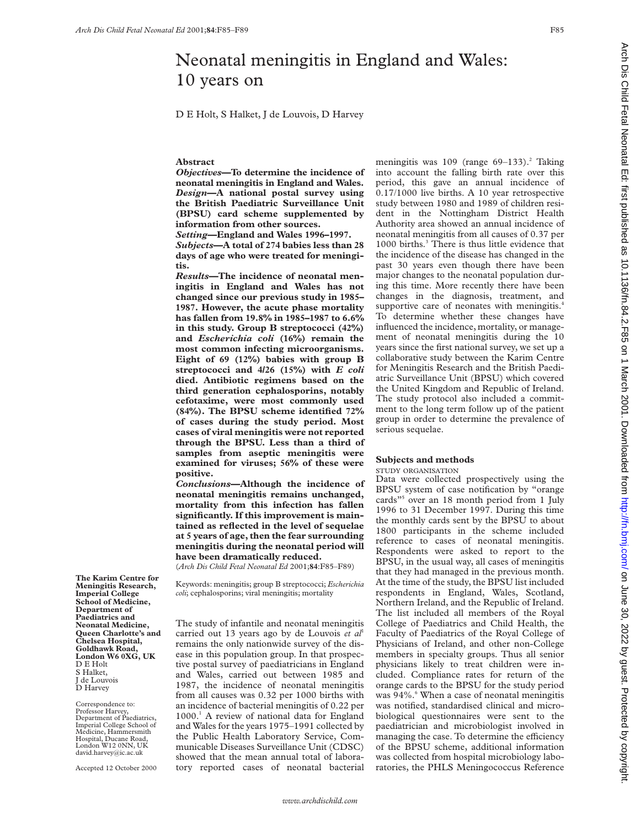# Neonatal meningitis in England and Wales: 10 years on

D E Holt, S Halket, J de Louvois, D Harvey

# **Abstract**

*Objectives***—To determine the incidence of neonatal meningitis in England and Wales.** *Design***—A national postal survey using the British Paediatric Surveillance Unit (BPSU) card scheme supplemented by information from other sources.**

*Setting***—England and Wales 1996–1997.** *Subjects***—A total of 274 babies less than 28 days of age who were treated for meningitis.**

*Results***—The incidence of neonatal meningitis in England and Wales has not changed since our previous study in 1985– 1987. However, the acute phase mortality has fallen from 19.8% in 1985–1987 to 6.6% in this study. Group B streptococci (42%) and** *Escherichia coli* **(16%) remain the most common infecting microorganisms. Eight of 69 (12%) babies with group B streptococci and 4/26 (15%) with** *E coli* **died. Antibiotic regimens based on the third generation cephalosporins, notably cefotaxime, were most commonly used (84%). The BPSU scheme identified 72% of cases during the study period. Most cases of viral meningitis were not reported through the BPSU. Less than a third of samples from aseptic meningitis were examined for viruses; 56% of these were positive.**

*Conclusions***—Although the incidence of neonatal meningitis remains unchanged, mortality from this infection has fallen significantly. If this improvement is maintained as reflected in the level of sequelae at 5 years of age, then the fear surrounding meningitis during the neonatal period will have been dramatically reduced.**

(*Arch Dis Child Fetal Neonatal Ed* 2001;**84**:F85–F89)

Keywords: meningitis; group B streptococci; *Escherichia coli*; cephalosporins; viral meningitis; mortality

The study of infantile and neonatal meningitis carried out 13 years ago by de Louvois *et al*<sup>1</sup> remains the only nationwide survey of the disease in this population group. In that prospective postal survey of paediatricians in England and Wales, carried out between 1985 and 1987, the incidence of neonatal meningitis from all causes was 0.32 per 1000 births with an incidence of bacterial meningitis of 0.22 per 1000.1 A review of national data for England and Wales for the years 1975–1991 collected by the Public Health Laboratory Service, Communicable Diseases Surveillance Unit (CDSC) showed that the mean annual total of laboratory reported cases of neonatal bacterial

meningitis was  $109$  (range  $69-133$ ).<sup>2</sup> Taking into account the falling birth rate over this period, this gave an annual incidence of 0.17/1000 live births. A 10 year retrospective study between 1980 and 1989 of children resident in the Nottingham District Health Authority area showed an annual incidence of neonatal meningitis from all causes of 0.37 per 1000 births.<sup>3</sup> There is thus little evidence that the incidence of the disease has changed in the past 30 years even though there have been major changes to the neonatal population during this time. More recently there have been changes in the diagnosis, treatment, and supportive care of neonates with meningitis.<sup>4</sup> To determine whether these changes have influenced the incidence, mortality, or management of neonatal meningitis during the 10 years since the first national survey, we set up a collaborative study between the Karim Centre for Meningitis Research and the British Paediatric Surveillance Unit (BPSU) which covered the United Kingdom and Republic of Ireland. The study protocol also included a commitment to the long term follow up of the patient group in order to determine the prevalence of serious sequelae.

## **Subjects and methods**

STUDY ORGANISATION

Data were collected prospectively using the BPSU system of case notification by "orange cards"<sup>5</sup> over an 18 month period from 1 July 1996 to 31 December 1997. During this time the monthly cards sent by the BPSU to about 1800 participants in the scheme included reference to cases of neonatal meningitis. Respondents were asked to report to the BPSU, in the usual way, all cases of meningitis that they had managed in the previous month. At the time of the study, the BPSU list included respondents in England, Wales, Scotland, Northern Ireland, and the Republic of Ireland. The list included all members of the Royal College of Paediatrics and Child Health, the Faculty of Paediatrics of the Royal College of Physicians of Ireland, and other non-College members in specialty groups. Thus all senior physicians likely to treat children were included. Compliance rates for return of the orange cards to the BPSU for the study period was 94%.<sup>6</sup> When a case of neonatal meningitis was notified, standardised clinical and microbiological questionnaires were sent to the paediatrician and microbiologist involved in managing the case. To determine the efficiency of the BPSU scheme, additional information was collected from hospital microbiology laboratories, the PHLS Meningococcus Reference

**Imperial College School of Medicine, Department of Paediatrics and Neonatal Medicine, Queen Charlotte's and Chelsea Hospital, Goldhawk Road, London W6 0XG, UK** D E Holt S Halket, J de Louvois D Harvey

**The Karim Centre for Meningitis Research,**

Correspondence to: Professor Harvey, Department of Paediatrics, Imperial College School of Medicine, Hammersmith Hospital, Ducane Road, London W12 0NN, UK david.harvey@ic.ac.uk

Accepted 12 October 2000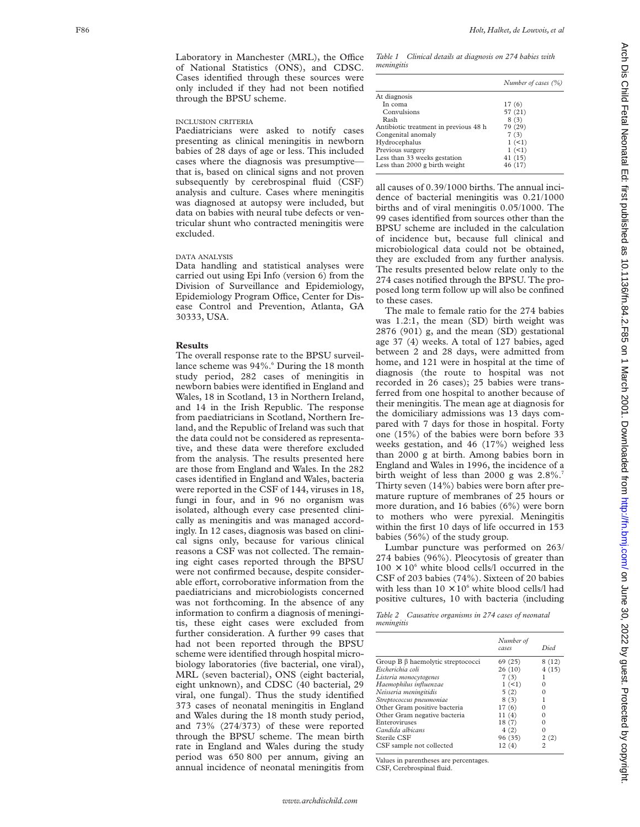Laboratory in Manchester (MRL), the Office of National Statistics (ONS), and CDSC. Cases identified through these sources were only included if they had not been notified through the BPSU scheme.

# INCLUSION CRITERIA

Paediatricians were asked to notify cases presenting as clinical meningitis in newborn babies of 28 days of age or less. This included cases where the diagnosis was presumptive that is, based on clinical signs and not proven subsequently by cerebrospinal fluid (CSF) analysis and culture. Cases where meningitis was diagnosed at autopsy were included, but data on babies with neural tube defects or ventricular shunt who contracted meningitis were excluded.

# DATA ANALYSIS

Data handling and statistical analyses were carried out using Epi Info (version 6) from the Division of Surveillance and Epidemiology, Epidemiology Program Office, Center for Disease Control and Prevention, Atlanta, GA 30333, USA.

#### **Results**

The overall response rate to the BPSU surveillance scheme was 94%.<sup>6</sup> During the 18 month study period, 282 cases of meningitis in newborn babies were identified in England and Wales, 18 in Scotland, 13 in Northern Ireland, and 14 in the Irish Republic. The response from paediatricians in Scotland, Northern Ireland, and the Republic of Ireland was such that the data could not be considered as representative, and these data were therefore excluded from the analysis. The results presented here are those from England and Wales. In the 282 cases identified in England and Wales, bacteria were reported in the CSF of 144, viruses in 18, fungi in four, and in 96 no organism was isolated, although every case presented clinically as meningitis and was managed accordingly. In 12 cases, diagnosis was based on clinical signs only, because for various clinical reasons a CSF was not collected. The remaining eight cases reported through the BPSU were not confirmed because, despite considerable effort, corroborative information from the paediatricians and microbiologists concerned was not forthcoming. In the absence of any information to confirm a diagnosis of meningitis, these eight cases were excluded from further consideration. A further 99 cases that had not been reported through the BPSU scheme were identified through hospital microbiology laboratories (five bacterial, one viral), MRL (seven bacterial), ONS (eight bacterial, eight unknown), and CDSC (40 bacterial, 29 viral, one fungal). Thus the study identified 373 cases of neonatal meningitis in England and Wales during the 18 month study period, and 73% (274/373) of these were reported through the BPSU scheme. The mean birth rate in England and Wales during the study period was 650 800 per annum, giving an annual incidence of neonatal meningitis from

*Table 1 Clinical details at diagnosis on 274 babies with meningitis*

|                                       | Number of cases (%) |
|---------------------------------------|---------------------|
| At diagnosis                          |                     |
| In coma                               | 17(6)               |
| Convulsions                           | 57 (21)             |
| Rash                                  | 8(3)                |
| Antibiotic treatment in previous 48 h | 79 (29)             |
| Congenital anomaly                    | 7(3)                |
| Hydrocephalus                         | 1(1)                |
| Previous surgery                      | 1(1)                |
| Less than 33 weeks gestation          | 41(15)              |
| Less than 2000 g birth weight         | 46 (17)             |
|                                       |                     |

all causes of 0.39/1000 births. The annual incidence of bacterial meningitis was 0.21/1000 births and of viral meningitis 0.05/1000. The 99 cases identified from sources other than the BPSU scheme are included in the calculation of incidence but, because full clinical and microbiological data could not be obtained, they are excluded from any further analysis. The results presented below relate only to the 274 cases notified through the BPSU. The proposed long term follow up will also be confined to these cases.

The male to female ratio for the 274 babies was 1.2:1, the mean (SD) birth weight was 2876 (901) g, and the mean (SD) gestational age 37 (4) weeks. A total of 127 babies, aged between 2 and 28 days, were admitted from home, and 121 were in hospital at the time of diagnosis (the route to hospital was not recorded in 26 cases); 25 babies were transferred from one hospital to another because of their meningitis. The mean age at diagnosis for the domiciliary admissions was 13 days compared with 7 days for those in hospital. Forty one (15%) of the babies were born before 33 weeks gestation, and 46 (17%) weighed less than 2000 g at birth. Among babies born in England and Wales in 1996, the incidence of a birth weight of less than 2000 g was 2.8%. 7 Thirty seven (14%) babies were born after premature rupture of membranes of 25 hours or more duration, and 16 babies (6%) were born to mothers who were pyrexial. Meningitis within the first 10 days of life occurred in 153 babies (56%) of the study group.

Lumbar puncture was performed on 263/ 274 babies (96%). Pleocytosis of greater than  $100 \times 10^6$  white blood cells/l occurred in the CSF of 203 babies (74%). Sixteen of 20 babies with less than  $10 \times 10^6$  white blood cells/l had positive cultures, 10 with bacteria (including

*Table 2 Causative organisms in 274 cases of neonatal meningitis*

|                                   | Number of<br>cases | Died  |
|-----------------------------------|--------------------|-------|
| Group B β haemolytic streptococci | 69 (25)            | 8(12) |
| Escherichia coli                  | 26(10)             | 4(15) |
| Listeria monocytogenes            | 7(3)               |       |
| Haemophilus influenzae            | 1(1)               | 0     |
| Neisseria meningitidis            | 5(2)               |       |
| Streptococcus pneumoniae          | 8(3)               |       |
| Other Gram positive bacteria      | 17(6)              |       |
| Other Gram negative bacteria      | 11(4)              |       |
| Enteroviruses                     | 18(7)              |       |
| Candida albicans                  | 4(2)               |       |
| Sterile CSF                       | 96 (35)            | 2(2)  |
| CSF sample not collected          | 12(4)              | 2     |

Values in parentheses are percentages. CSF, Cerebrospinal fluid.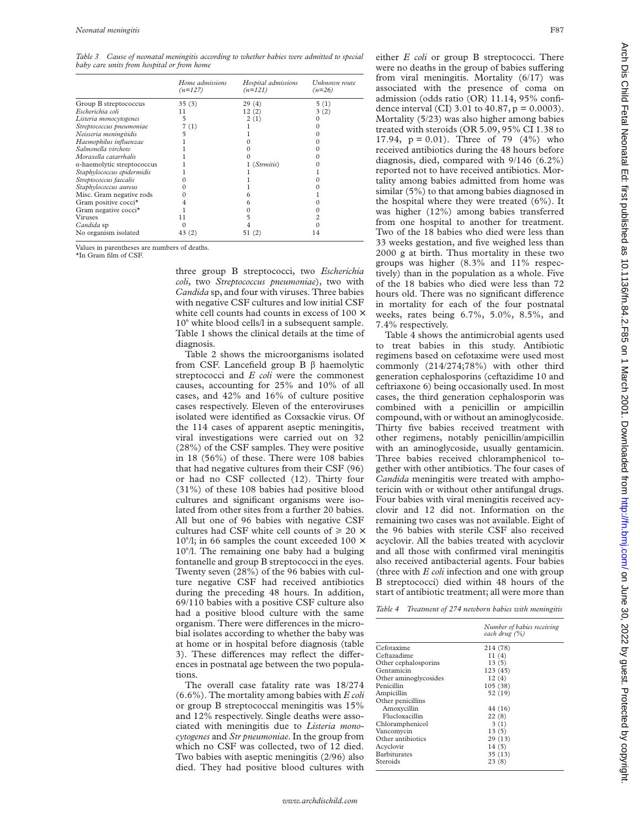*Table 3 Cause of neonatal meningitis according to whether babies were admitted to special baby care units from hospital or from home*

|                                    | Home admissions<br>$(n=127)$ | Hospital admissions<br>$(n=121)$ | Unknown route<br>$(n=26)$ |
|------------------------------------|------------------------------|----------------------------------|---------------------------|
| Group B streptococcus              | 35(3)                        | 29(4)                            | 5(1)                      |
| Escherichia coli                   | 11                           | 12(2)                            | 3(2)                      |
| Listeria monocytogenes             | 5                            | 2(1)                             |                           |
| Streptococcus pneumoniae           | 7(1)                         |                                  |                           |
| Neisseria meningitidis             |                              |                                  |                           |
| Haemophilus influenzae             |                              |                                  |                           |
| Salmonella virchow                 |                              |                                  |                           |
| Moraxella catarrhalis              |                              |                                  |                           |
| $\alpha$ -haemolytic streptococcus |                              | 1 (Strmitis)                     |                           |
| Staphylococcus epidermidis         |                              |                                  |                           |
| Streptococcus faecalis             |                              |                                  |                           |
| Staphylococcus aureus              |                              |                                  |                           |
| Misc. Gram negative rods           |                              |                                  |                           |
| Gram positive cocci*               |                              |                                  |                           |
| Gram negative cocci*               |                              |                                  |                           |
| <b>Viruses</b>                     | 11                           |                                  |                           |
| <i>Candida</i> sp                  |                              |                                  |                           |
| No organism isolated               | 43 (2)                       | 51 (2)                           | 14                        |

Values in parentheses are numbers of deaths. \*In Gram film of CSF.

three group B streptococci, two *Escherichia coli*, two *Streptococcus pneumoniae*), two with *Candida* sp, and four with viruses. Three babies with negative CSF cultures and low initial CSF white cell counts had counts in excess of  $100 \times$  $10<sup>6</sup>$  white blood cells/l in a subsequent sample. Table 1 shows the clinical details at the time of diagnosis.

Table 2 shows the microorganisms isolated from CSF. Lancefield group B  $\beta$  haemolytic streptococci and *E coli* were the commonest causes, accounting for 25% and 10% of all cases, and 42% and 16% of culture positive cases respectively. Eleven of the enteroviruses isolated were identified as Coxsackie virus. Of the 114 cases of apparent aseptic meningitis, viral investigations were carried out on 32 (28%) of the CSF samples. They were positive in 18 (56%) of these. There were 108 babies that had negative cultures from their CSF (96) or had no CSF collected (12). Thirty four (31%) of these 108 babies had positive blood cultures and significant organisms were isolated from other sites from a further 20 babies. All but one of 96 babies with negative CSF cultures had CSF white cell counts of  $\geq 20 \times$ 10<sup>6</sup>/l; in 66 samples the count exceeded 100  $\times$ 106 /l. The remaining one baby had a bulging fontanelle and group B streptococci in the eyes. Twenty seven (28%) of the 96 babies with culture negative CSF had received antibiotics during the preceding 48 hours. In addition, 69/110 babies with a positive CSF culture also had a positive blood culture with the same organism. There were differences in the microbial isolates according to whether the baby was at home or in hospital before diagnosis (table 3). These differences may reflect the differences in postnatal age between the two populations.

The overall case fatality rate was 18/274 (6.6%). The mortality among babies with *E coli* or group B streptococcal meningitis was 15% and 12% respectively. Single deaths were associated with meningitis due to *Listeria monocytogenes* and *Str pneumoniae*. In the group from which no CSF was collected, two of 12 died. Two babies with aseptic meningitis (2/96) also died. They had positive blood cultures with either *E coli* or group B streptococci. There were no deaths in the group of babies suffering from viral meningitis. Mortality (6/17) was associated with the presence of coma on admission (odds ratio (OR) 11.14, 95% confidence interval (CI) 3.01 to  $40.87$ ,  $p = 0.0003$ ). Mortality (5/23) was also higher among babies treated with steroids (OR 5.09, 95% CI 1.38 to 17.94,  $p = 0.01$ ). Three of 79 (4%) who received antibiotics during the 48 hours before diagnosis, died, compared with 9/146 (6.2%) reported not to have received antibiotics. Mortality among babies admitted from home was similar (5%) to that among babies diagnosed in the hospital where they were treated (6%). It was higher (12%) among babies transferred from one hospital to another for treatment. Two of the 18 babies who died were less than 33 weeks gestation, and five weighed less than 2000 g at birth. Thus mortality in these two groups was higher (8.3% and 11% respectively) than in the population as a whole. Five of the 18 babies who died were less than 72 hours old. There was no significant difference in mortality for each of the four postnatal weeks, rates being 6.7%, 5.0%, 8.5%, and 7.4% respectively.

Table 4 shows the antimicrobial agents used to treat babies in this study. Antibiotic regimens based on cefotaxime were used most commonly (214/274;78%) with other third generation cephalosporins (ceftazidime 10 and ceftriaxone 6) being occasionally used. In most cases, the third generation cephalosporin was combined with a penicillin or ampicillin compound, with or without an aminoglycoside. Thirty five babies received treatment with other regimens, notably penicillin/ampicillin with an aminoglycoside, usually gentamicin. Three babies received chloramphenicol together with other antibiotics. The four cases of *Candida* meningitis were treated with amphotericin with or without other antifungal drugs. Four babies with viral meningitis received acyclovir and 12 did not. Information on the remaining two cases was not available. Eight of the 96 babies with sterile CSF also received acyclovir. All the babies treated with acyclovir and all those with confirmed viral meningitis also received antibacterial agents. Four babies (three with *E coli* infection and one with group B streptococci) died within 48 hours of the start of antibiotic treatment; all were more than

| Table 4 Treatment of 274 newborn babies with meningitis |  |
|---------------------------------------------------------|--|
|---------------------------------------------------------|--|

|                       | Number of babies receiving<br>each drug (%) |
|-----------------------|---------------------------------------------|
| Cefotaxime            | 214 (78)                                    |
| Ceftazadime           | 11(4)                                       |
| Other cephalosporins  | 13(5)                                       |
| Gentamicin            | 123(45)                                     |
| Other aminoglycosides | 12(4)                                       |
| Penicillin            | 105(38)                                     |
| Ampicillin            | 52 (19)                                     |
| Other penicillins     |                                             |
| Amoxycillin           | 44 (16)                                     |
| Flucloxacillin        | 22(8)                                       |
| Chloramphenicol       | 3(1)                                        |
| Vancomycin            | 13(5)                                       |
| Other antibiotics     | 29(13)                                      |
| Acyclovir             | 14(5)                                       |
| <b>Barbiturates</b>   | 35(13)                                      |
| Steroids              | 23(8)                                       |
|                       |                                             |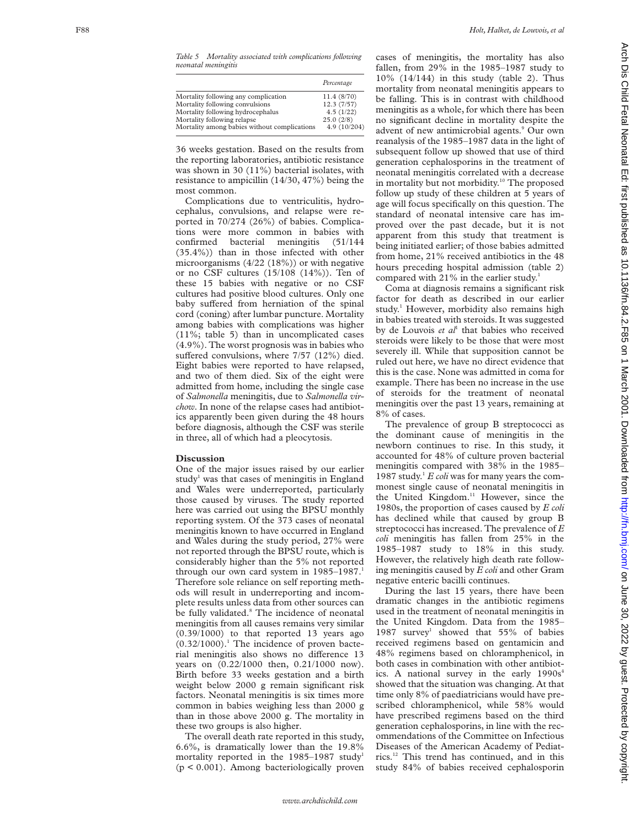*Table 5 Mortality associated with complications following neonatal meningitis*

|                                              | Percentage   |
|----------------------------------------------|--------------|
| Mortality following any complication         | 11.4 (8/70)  |
| Mortality following convulsions              | 12.3(7/57)   |
| Mortality following hydrocephalus            | 4.5(1/22)    |
| Mortality following relapse                  | 25.0(2/8)    |
| Mortality among babies without complications | 4.9 (10/204) |

36 weeks gestation. Based on the results from the reporting laboratories, antibiotic resistance was shown in 30 (11%) bacterial isolates, with resistance to ampicillin (14/30, 47%) being the most common.

Complications due to ventriculitis, hydrocephalus, convulsions, and relapse were reported in 70/274 (26%) of babies. Complications were more common in babies with confirmed bacterial meningitis (51/144 (35.4%)) than in those infected with other microorganisms (4/22 (18%)) or with negative or no CSF cultures (15/108 (14%)). Ten of these 15 babies with negative or no CSF cultures had positive blood cultures. Only one baby suffered from herniation of the spinal cord (coning) after lumbar puncture. Mortality among babies with complications was higher (11%; table 5) than in uncomplicated cases (4.9%). The worst prognosis was in babies who suffered convulsions, where 7/57 (12%) died. Eight babies were reported to have relapsed, and two of them died. Six of the eight were admitted from home, including the single case of *Salmonella* meningitis, due to *Salmonella virchow*. In none of the relapse cases had antibiotics apparently been given during the 48 hours before diagnosis, although the CSF was sterile in three, all of which had a pleocytosis.

### **Discussion**

One of the major issues raised by our earlier study<sup>1</sup> was that cases of meningitis in England and Wales were underreported, particularly those caused by viruses. The study reported here was carried out using the BPSU monthly reporting system. Of the 373 cases of neonatal meningitis known to have occurred in England and Wales during the study period, 27% were not reported through the BPSU route, which is considerably higher than the 5% not reported through our own card system in 1985–1987. 1 Therefore sole reliance on self reporting methods will result in underreporting and incomplete results unless data from other sources can be fully validated. <sup>8</sup> The incidence of neonatal meningitis from all causes remains very similar  $(0.39/1000)$  to that reported 13 years ago (0.32/1000). <sup>1</sup> The incidence of proven bacterial meningitis also shows no difference 13 years on (0.22/1000 then, 0.21/1000 now). Birth before 33 weeks gestation and a birth weight below 2000 g remain significant risk factors. Neonatal meningitis is six times more common in babies weighing less than 2000 g than in those above 2000 g. The mortality in these two groups is also higher.

The overall death rate reported in this study, 6.6%, is dramatically lower than the 19.8% mortality reported in the 1985–1987 study 1 (p < 0.001). Among bacteriologically proven cases of meningitis, the mortality has also fallen, from 29% in the 1985–1987 study to 10% (14/144) in this study (table 2). Thus mortality from neonatal meningitis appears to be falling. This is in contrast with childhood meningitis as a whole, for which there has been no significant decline in mortality despite the advent of new antimicrobial agents. <sup>9</sup> Our own reanalysis of the 1985–1987 data in the light of subsequent follow up showed that use of third generation cephalosporins in the treatment of neonatal meningitis correlated with a decrease in mortality but not morbidity.<sup>10</sup> The proposed follow up study of these children at 5 years of age will focus specifically on this question. The standard of neonatal intensive care has improved over the past decade, but it is not apparent from this study that treatment is being initiated earlier; of those babies admitted from home, 21% received antibiotics in the 48 hours preceding hospital admission (table 2) compared with 21% in the earlier study.<sup>1</sup>

Coma at diagnosis remains a significant risk factor for death as described in our earlier study. <sup>1</sup> However, morbidity also remains high in babies treated with steroids. It was suggested by de Louvois *et al* <sup>1</sup> that babies who received steroids were likely to be those that were most severely ill. While that supposition cannot be ruled out here, we have no direct evidence that this is the case. None was admitted in coma for example. There has been no increase in the use of steroids for the treatment of neonatal meningitis over the past 13 years, remaining at 8% of cases.

The prevalence of group B streptococci as the dominant cause of meningitis in the newborn continues to rise. In this study, it accounted for 48% of culture proven bacterial meningitis compared with 38% in the 1985– 1987 study. <sup>1</sup> *E coli* was for many years the commonest single cause of neonatal meningitis in the United Kingdom.<sup>11</sup> However, since the 1980s, the proportion of cases caused by *E coli* has declined while that caused by group B streptococci has increased. The prevalence of *E coli* meningitis has fallen from 25% in the 1985–1987 study to 18% in this study. However, the relatively high death rate following meningitis caused by *E coli* and other Gram negative enteric bacilli continues.

During the last 15 years, there have been dramatic changes in the antibiotic regimens used in the treatment of neonatal meningitis in the United Kingdom. Data from the 1985– 1987 survey <sup>1</sup> showed that 55% of babies received regimens based on gentamicin and 48% regimens based on chloramphenicol, in both cases in combination with other antibiotics. A national survey in the early  $1990s<sup>4</sup>$ showed that the situation was changing. At that time only 8% of paediatricians would have prescribed chloramphenicol, while 58% would have prescribed regimens based on the third generation cephalosporins, in line with the recommendations of the Committee on Infectious Diseases of the American Academy of Pediatrics.12 This trend has continued, and in this study 84% of babies received cephalosporin